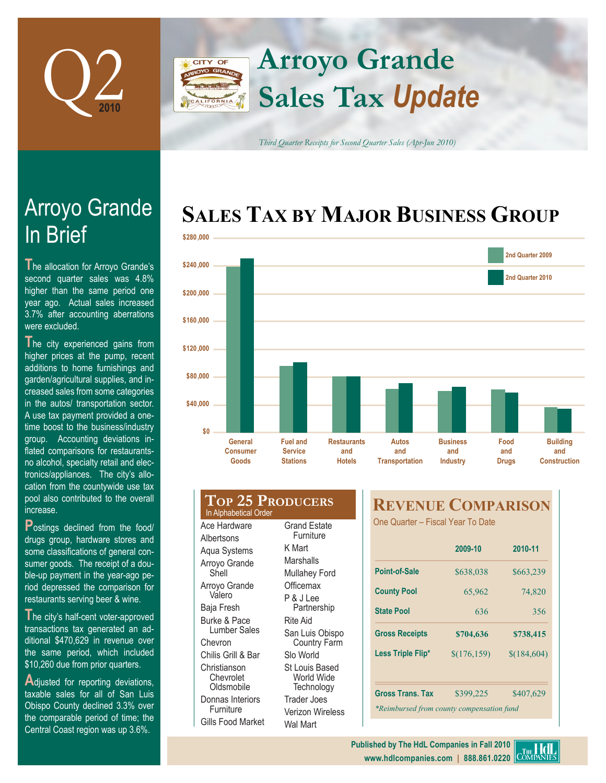

## **Arroyo Grande** CITY OF **Sales Tax** *Update*

*Third Quarter Receipts for Second Quarter Sales (Apr-Jun 2010)*

# **SALES TAX BY MAJOR BUSINESS GROUP**



| \$0                                                                                     |                                                      |                                            |                                      |
|-----------------------------------------------------------------------------------------|------------------------------------------------------|--------------------------------------------|--------------------------------------|
| General<br><b>Consumer</b><br>Goods                                                     | <b>Fuel and</b><br><b>Service</b><br><b>Stations</b> | <b>Restaurants</b><br>and<br><b>Hotels</b> | Autos<br>and<br><b>Transportatio</b> |
| <b>TOP 25 PRODUCERS</b><br>In Alphabetical Order<br>Ace Hardware<br><b>Grand Estate</b> |                                                      |                                            | REVEI<br><b>One Quarter</b>          |
| Albertsons<br>Aqua Systems                                                              | Furniture<br>K Mart                                  |                                            |                                      |
| Arroyo Grande<br>Shell                                                                  | Marshalls<br>Mullahey Ford                           |                                            | <b>Point-of-Sale</b>                 |
| Arroyo Grande<br>Valero                                                                 | Officemax                                            |                                            | <b>County Pool</b>                   |
| Baja Fresh                                                                              | P & J Lee<br>Partnership                             |                                            | <b>State Pool</b>                    |
| Burke & Pace                                                                            | <b>Rite Aid</b>                                      |                                            |                                      |

San Luis Obispo Country Farm

Slo World St Louis Based World Wide **Technology** Trader Joes Verizon Wireless Wal Mart

Lumber Sales

Chevron Chilis Grill & Bar **Christianson Chevrolet Oldsmobile** Donnas Interiors Furniture Gills Food Market

## **REVENUE COMPARISON**

– Fiscal Year To Date

|                                           | 2009-10      | 2010-11<br>\$663,239 |  |  |  |
|-------------------------------------------|--------------|----------------------|--|--|--|
| Point-of-Sale                             | \$638,038    |                      |  |  |  |
| <b>County Pool</b>                        | 65,962       | 74,820               |  |  |  |
| <b>State Pool</b>                         | 636          | 356                  |  |  |  |
| <b>Gross Receipts</b>                     | \$704,636    | \$738,415            |  |  |  |
| Less Triple Flip*                         | \$(176, 159) | \$(184,604)          |  |  |  |
| <b>Gross Trans, Tax</b>                   | \$399,225    | \$407,629            |  |  |  |
| *Reimbursed from county compensation fund |              |                      |  |  |  |

# In Brief Arroyo Grande

**T**he allocation for Arroyo Grande's second quarter sales was 4.8% higher than the same period one year ago. Actual sales increased 3.7% after accounting aberrations were excluded.

**T**he city experienced gains from higher prices at the pump, recent additions to home furnishings and garden/agricultural supplies, and increased sales from some categories in the autos/ transportation sector. A use tax payment provided a onetime boost to the business/industry group. Accounting deviations inflated comparisons for restaurantsno alcohol, specialty retail and electronics/appliances. The city's allocation from the countywide use tax pool also contributed to the overall increase.

**Postings declined from the food/** drugs group, hardware stores and some classifications of general consumer goods. The receipt of a double-up payment in the year-ago period depressed the comparison for restaurants serving beer & wine.

**T**he city's half-cent voter-approved transactions tax generated an additional \$470,629 in revenue over the same period, which included \$10,260 due from prior quarters.

Adjusted for reporting deviations, taxable sales for all of San Luis Obispo County declined 3.3% over the comparable period of time; the Central Coast region was up 3.6%.

**Published by The HdL Companies in Fall 2010** COMPANIES **www.hdlcompanies.com | 888.861.0220**